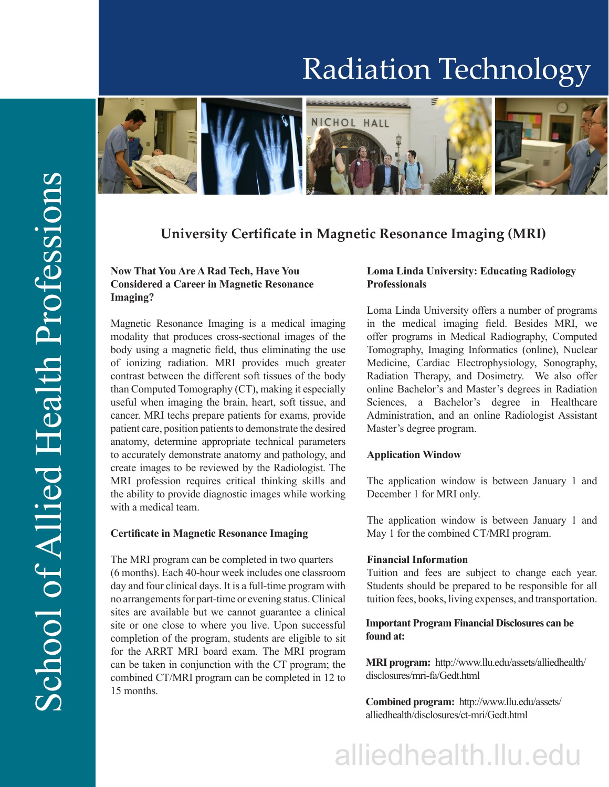## Radiation Technology



### **University Certificate in Magnetic Resonance Imaging (MRI)**

#### **Now That You Are A Rad Tech, Have You Considered a Career in Magnetic Resonance Imaging?**

Magnetic Resonance Imaging is a medical imaging modality that produces cross-sectional images of the body using a magnetic field, thus eliminating the use of ionizing radiation. MRI provides much greater contrast between the different soft tissues of the body than Computed Tomography (CT), making it especially useful when imaging the brain, heart, soft tissue, and cancer. MRI techs prepare patients for exams, provide patient care, position patients to demonstrate the desired anatomy, determine appropriate technical parameters to accurately demonstrate anatomy and pathology, and create images to be reviewed by the Radiologist. The MRI profession requires critical thinking skills and the ability to provide diagnostic images while working with a medical team.

#### **Certificate in Magnetic Resonance Imaging**

The MRI program can be completed in two quarters (6 months). Each 40-hour week includes one classroom day and four clinical days. It is a full-time program with no arrangements for part-time or evening status. Clinical sites are available but we cannot guarantee a clinical site or one close to where you live. Upon successful completion of the program, students are eligible to sit for the ARRT MRI board exam. The MRI program can be taken in conjunction with the CT program; the combined CT/MRI program can be completed in 12 to 15 months.

#### **Loma Linda University: Educating Radiology Professionals**

Loma Linda University offers a number of programs in the medical imaging field. Besides MRI, we offer programs in Medical Radiography, Computed Tomography, Imaging Informatics (online), Nuclear Medicine, Cardiac Electrophysiology, Sonography, Radiation Therapy, and Dosimetry. We also offer online Bachelor's and Master's degrees in Radiation Sciences, a Bachelor's degree in Healthcare Administration, and an online Radiologist Assistant Master's degree program.

#### **Application Window**

The application window is between January 1 and December 1 for MRI only.

The application window is between January 1 and May 1 for the combined CT/MRI program.

#### **Financial Information**

Tuition and fees are subject to change each year. Students should be prepared to be responsible for all tuition fees, books, living expenses, and transportation.

#### **Important Program Financial Disclosures can be found at:**

**MRI program:** http://www.llu.edu/assets/alliedhealth/ disclosures/mri-fa/Gedt.html

**Combined program:** http://www.llu.edu/assets/ alliedhealth/disclosures/ct-mri/Gedt.html

# alliedhealth.llu.edu